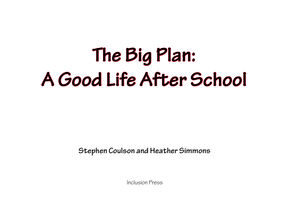# **The Big Plan: A Good Life After School**

**Stephen Coulson and Heather Simmons**

Inclusion Press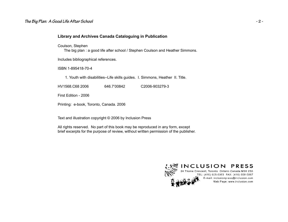#### *The Big Plan: A Good Life After School* **- 2 -**

Coulson, Stephen

The big plan : a good life after school / Stephen Coulson and Heather Simmons.

Includes bibliographical references.

ISBN 1-895418-70-4

1. Youth with disabilities--Life skills guides. I. Simmons, Heather II. Title.

HV1568.C68 2006 646.7'00842 C2006-903279-3

First Edition - 2006

Printing: e-book, Toronto, Canada. 2006

Text and illustration copyright © 2006 by Inclusion Press

All rights reserved. No part of this book may be reproduced in any form, except brief excerpts for the purpose of review, without written permission of the publisher.

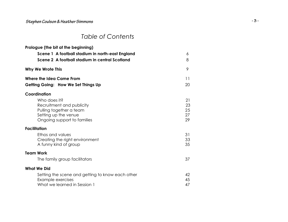# *Stephen Coulson & Heather Simmons* **- 3 -**

## *Table of Contents*

| Prologue (the bit at the beginning)              |          |
|--------------------------------------------------|----------|
| Scene 1 A football stadium in north-east England | 6        |
| Scene 2 A football stadium in central Scotland   | 8        |
| <b>Why We Wrote This</b>                         | 9        |
| Where the Idea Came From                         | 11       |
| Getting Going: How We Set Things Up              | 20       |
| Coordination                                     |          |
| Who does it?                                     | 21       |
| Recruitment and publicity                        | 23<br>25 |
| Pulling together a team<br>Setting up the venue  | 27       |
| Ongoing support to families                      | 29       |
| <b>Facilitation</b>                              |          |
| Ethos and values                                 | 31       |
| Creating the right environment                   | 33       |
| A funny kind of group                            | 35       |
| <b>Team Work</b>                                 |          |
| The family group facilitators                    | 37       |
| <b>What We Did</b>                               |          |
| Setting the scene and getting to know each other | 42       |
| Example exercises                                | 45       |
| What we learned in Session 1                     | 47       |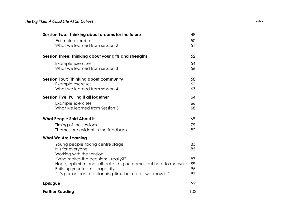# *The Big Plan: A Good Life After School* **- 4 -**

| Session Two: Thinking about dreams for the future                | 48  |
|------------------------------------------------------------------|-----|
| Example exercise                                                 | 50  |
| What we learned from session 2                                   | 51  |
|                                                                  |     |
| Session Three: Thinking about your gifts and strengths           | 52  |
| Example exercises                                                | 54  |
| What we learned from session 3                                   | 56  |
| <b>Session Four: Thinking about community</b>                    | 58  |
| Example exercises                                                | 61  |
| What we learned from session 4                                   | 63  |
| Session Five: Pulling it all together                            | 64  |
| Example exercises                                                | 66  |
| What we learned from Session 5                                   | 68  |
| <b>What People Said About It</b>                                 | 69  |
|                                                                  |     |
| Timing of the sessions                                           | 79  |
| Themes are evident in the feedback                               | 82  |
| <b>What We Are Learning</b>                                      |     |
| Young people taking centre stage                                 | 83  |
| It is for everyone!                                              | 85  |
| Working with the tension                                         |     |
| "Who makes the decisions - really?"                              | 87  |
| Hope, optimism and self-belief: big outcomes but hard to measure | 89  |
| Building your team's capacity                                    | 95  |
| "It's person centred planning Jim, but not as we know it!"       | 97  |
| <b>Epilogue</b>                                                  | 99  |
| <b>Further Reading</b>                                           | 103 |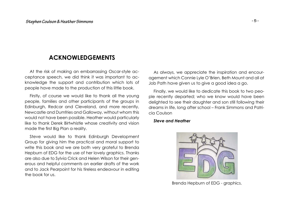# **ACKNOWLEDGEMENTS**

At the risk of making an embarrassing Oscar-style acceptance speech, we did think it was important to acknowledge the support and contribution which lots of people have made to the production of this little book.

Firstly, of course we would like to thank all the young people, families and other participants of the groups in Edinburgh, Redcar and Cleveland, and more recently, Newcastle and Dumfries and Galloway, without whom this would not have been possible. Heather would particularly like to thank Derek Birtwhistle whose creativity and vision made the first Big Plan a reality.

Steve would like to thank Edinburgh Development Group for giving him the practical and moral support to write this book and we are both very grateful to Brenda Hepburn of EDG for the use of her lovely graphics. Thanks are also due to Sylvia Crick and Helen Wilson for their generous and helpful comments on earlier drafts of the work and to Jack Pearpoint for his tireless endeavour in editing the book for us.

As always, we appreciate the inspiration and encouragement which Connie Lyle O'Brien, Beth Mount and all at Job Path have given us to give <sup>a</sup> good idea <sup>a</sup> go.

Finally, we would like to dedicate this book to two people recently departed; who we know would have been delighted to see their daughter and son still following their dreams in life, long after school – Frank Simmons and Patricia Coulson

#### *Steve and Heather*



Brenda Hepburn of EDG - graphics.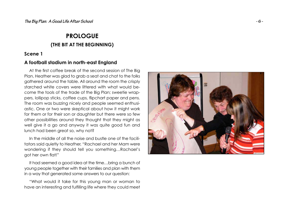# **PROLOGUE(THE BIT AT THE BEGINNING)**

### **Scene 1**

## **A football stadium in north-east England**

At the first coffee break of the second session of The Big Plan, Heather was glad to grab <sup>a</sup> seat and chat to the folks gathered around the table. All around the room the crisply starched white covers were littered with what would become the tools of the trade of the Big Plan; sweetie wrappers, lollipop sticks, coffee cups, flipchart paper and pens. The room was buzzing nicely and people seemed enthusiastic. One or two were skeptical about how it might work for them or for their son or daughter but there were so few other possibilities around they thought that they might as well give it <sup>a</sup> go and anyway it was quite good fun and lunch had been great so, why not?

In the middle of all the noise and bustle one of the facilitators said quietly to Heather, "Rachael and her Mam were wondering if they should tell you something…Rachael's got her own flat!"

It had seemed <sup>a</sup> good idea at the time…bring <sup>a</sup> bunch of young people together with their families and plan with them in <sup>a</sup> way that generated some answers to our question:

"What would it take for this young man or woman to have an interesting and fulfilling life where they could meet

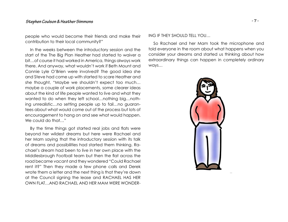people who would become their friends and make their contribution to their local community?"

In the weeks between the introductory session and the start of the The Big Plan Heather had started to waiver <sup>a</sup> bit…of course it had worked in America, things always work there. And anyway, what wouldn't work if Beth Mount and Connie Lyle O'Brien were involved? The good idea she and Steve had come up with started to scare Heather and she thought, "Maybe we shouldn't expect too much… maybe <sup>a</sup> couple of work placements, some clearer ideas about the kind of life people wanted to live and what they wanted to do when they left school...nothing big...nothing unrealistic…no setting people up to fail…no guarantees about what would come out of the process but lots of encouragement to hang on and see what would happen. We could do that…"

By the time things got started real jobs and flats were beyond her wildest dreams but here were Rachael and her Mam saying that the introductory session with its talk of dreams and possibilities had started them thinking. Rachael's dream had been to live in her own place with the Middlesbrough Football team but then the flat across the road became vacant and they wondered "Could Rachael rent it?" Then they made <sup>a</sup> few phone calls and Derek wrote them <sup>a</sup> letter and the next thing is that they're down at the Council signing the lease and RACHAEL HAS HER OWN FLAT…AND RACHAEL AND HER MAM WERE WONDER-

#### ING IF THEY SHOULD TELL YOU…

So Rachael and her Mam took the microphone and told everyone in the room about what happens when you consider your dreams and started us thinking about how extraordinary things can happen in completely ordinary ways…

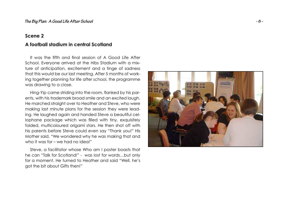### **Scene 2**

## **A football stadium in central Scotland**

It was the fifth and final session of A Good Life After School. Everyone arrived at the Hibs Stadium with <sup>a</sup> mixture of anticipation, excitement and <sup>a</sup> tinge of sadness that this would be our last meeting. After 5 months of working together planning for life after school, the programme was drawing to <sup>a</sup> close.

Hing-Yip came striding into the room, flanked by his parents, with his trademark broad smile and an excited laugh. He marched straight over to Heather and Steve, who were making last minute plans for the session they were leading. He laughed again and handed Steve <sup>a</sup> beautiful cellophane package which was filled with tiny, exquisitely folded, multicoloured origami stars. He then shot off with his parents before Steve could even say "Thank you!" His Mother said, "We wondered why he was making that and who it was for – we had no idea!"

Steve, <sup>a</sup> facilitator whose Who am I poster boasts that he can "Talk for Scotland!" - was lost for words…but only for <sup>a</sup> moment. He turned to Heather and said "Well, he's got the bit about Gifts then!"

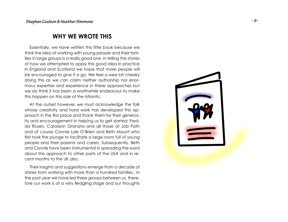# **WHY WE WROTE THIS**

Essentially, we have written this little book because we think the idea of working with young people and their families in large groups is <sup>a</sup> really good one. In telling the stories of how we attempted to apply this good idea in practice in England and Scotland we hope that more people will be encouraged to give it <sup>a</sup> go. We feel <sup>a</sup> wee bit cheeky doing this as we can claim neither authorship nor enormous expertise and experience in these approaches but we do think it has been a worthwhile endeavour to make this happen on this side of the Atlantic.

At the outset however, we must acknowledge the folk whose creativity and hard work has developed this approach in the first place and thank them for their generosity and encouragement in helping us to get started; Fredda Rosen, Carolann Granata and all those at Job Path and of course Connie Lyle O'Brien and Beth Mount who first took the plunge to facilitate a large room full of young people and their parents and carers. Subsequently, Beth and Connie have been instrumental in spreading the word about this approach to other parts of the USA and in recent months to the UK also.

Their insights and suggestions emerge from <sup>a</sup> decade of stories from working with more than <sup>a</sup> hundred families . In the past year we have led three groups between us, therefore our work is at a very fledgling stage and our thoughts

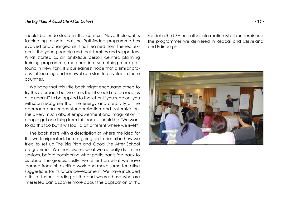should be understood in this context. Nevertheless, it is fascinating to note that the Pathfinders programme has evolved and changed as it has learned from the real experts, the young people and their families and supporters. What started as an ambitious person centred planning training programme, morphed into something more profound in New York. It is our earnest hope that <sup>a</sup> similar process of learning and renewal can start to develop in these countries.

We hope that this little book might encourage others to try this approach but we stress that it should not be read as <sup>a</sup> "blueprint" to be applied to the letter. If you read on, you will soon recognize that the energy and creativity of the approach challenges standardization and systemization. This is very much about empowerment and imagination. If people get one thing from this book it should be "We want to do this too but it will look a bit different where we live!"

The book starts with <sup>a</sup> description of where the idea for the work originated, before going on to describe how we tried to set up The Big Plan and Good Life After School programmes. We then discuss what we actually did in the sessions, before considering what participants fed back to us about the groups. Lastly, we reflect on what we have learned from this exciting work and make some tentative suggestions for its future development. We have included <sup>a</sup> list of further reading at the end where those who are interested can discover more about the application of this

model in the USA and other information which underpinned the programmes we delivered in Redcar and Cleveland and Edinburgh.

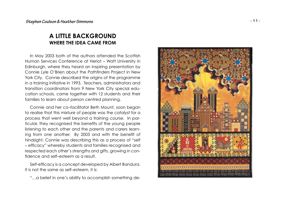# **A LITTLE BACKGROUNDWHERE THE IDEA CAME FROM**

In May 2003 both of the authors attended the Scottish Human Services Conference at Heriot – Watt University in Edinburgh, where they heard an inspiring presentation by Connie Lyle O'Brien about the Pathfinders Project in New York City. Connie described the origins of the programme in <sup>a</sup> training initiative in 1993. Teachers, administrators and transition coordinators from 9 New York City special education schools, came together with 12 students and their families to learn about person centred planning.

Connie and her co–facilitator Beth Mount, soon began to realise that this mixture of people was the catalyst for <sup>a</sup> process that went well beyond <sup>a</sup> training course. In particular, they recognised the benefits of the young people listening to each other and the parents and carers learning from one another. By 2003 and with the benefit of hindsight, Connie was describing this as <sup>a</sup> process of "self - efficacy" whereby students and families recognised and respected each other's strengths and gifts, growing in confidence and self-esteem as a result.

Self-efficacy is a concept developed by Albert Bandura. It is not the same as self–esteem, it is:

"…a belief in one's ability to accomplish something de-

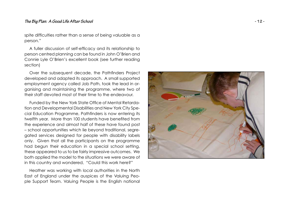#### *The Big Plan: A Good Life After School* **- 12 -**

spite difficulties rather than a sense of being valuable as a person."

A fuller discussion of self-efficacy and its relationship to person centred planning can be found in John O'Brien and Connie Lyle O'Brien's excellent book (see further reading section)

Over the subsequent decade, the Pathfinders Project developed and adapted its approach. A small supported employment agency called Job Path, took the lead in organising and maintaining the programme, where two of their staff devoted most of their time to the endeavour.

Funded by the New York State Office of Mental Retardation and Developmental Disabilities and New York City Special Education Programme, Pathfinders is now entering its twelfth year. More than 100 students have benefited from the experience and almost half of these have found post – school opportunities which lie beyond traditional, segregated services designed for people with disability labels only. Given that all the participants on the programme had begun their education in <sup>a</sup> special school setting, these appeared to us to be fairly impressive outcomes. We both applied the model to the situations we were aware of in this country and wondered, "Could this work here?"

Heather was working with local authorities in the North East of England under the auspices of the Valuing People Support Team. Valuing People is the English national

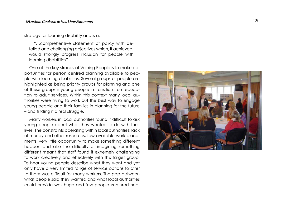#### *Stephen Coulson & Heather Simmons* **- 13 -**

#### strategy for learning disability and is a:

"…comprehensive statement of policy with detailed and challenging objectives which, if achieved, would strongly progress inclusion for people with learning disabilities"

One of the key strands of Valuing People is to make opportunities for person centred planning available to people with learning disabilities. Several groups of people are highlighted as being priority groups for planning and one of these groups is young people in transition from education to adult services. Within this context many local authorities were trying to work out the best way to engage young people and their families in planning for the future  $-$  and finding it a real struggle.

Many workers in local authorities found it difficult to ask young people about what they wanted to do with their lives. The constraints operating within local authorities; lack of money and other resources; few available work placements; very little opportunity to make something different happen and also the difficulty of imagining something different meant that staff found it extremely challenging to work creatively and effectively with this target group. To hear young people describe what they want and yet only have <sup>a</sup> very limited range of service options to offer to them was difficult for many workers. The gap between what people said they wanted and what local authorities could provide was huge and few people ventured near

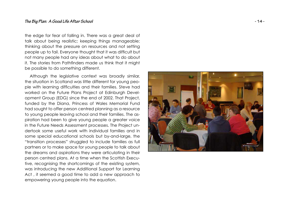the edge for fear of falling in. There was <sup>a</sup> great deal of talk about being realistic; keeping things manageable; thinking about the pressure on resources and not setting people up to fail. Everyone thought that it was difficult but not many people had any ideas about what to do about it. The stories from Pathfinders made us think that it might be possible to do something different.

Although the legislative context was broadly similar, the situation in Scotland was little different for young people with learning difficulties and their families. Steve had worked on the Future Plans Project at Edinburgh Development Group (EDG) since the end of 2002. That Project, funded by the Diana, Princess of Wales Memorial Fund had sought to offer person centred planning as <sup>a</sup> resource to young people leaving school and their families. The aspiration had been to give young people <sup>a</sup> greater voice in the Future Needs Assessment processes. The Project undertook some useful work with individual families and insome special educational schools but by-and-large, the "transition processes" struggled to include families as full partners or to make space for young people to talk about the dreams and aspirations they were articulating in their person centred plans. At <sup>a</sup> time when the Scottish Executive, recognising the shortcomings of the existing system, was introducing the new Additional Support for Learning Act , it seemed <sup>a</sup> good time to add <sup>a</sup> new approach to empowering young people into the equation.

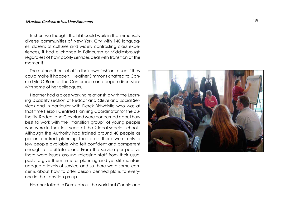#### *Stephen Coulson & Heather Simmons* **- 15 -**

In short we thought that if it could work in the immensely diverse communities of New York City with 140 languages, dozens of cultures and widely contrasting class experiences, it had <sup>a</sup> chance in Edinburgh or Middlesbrough regardless of how poorly services deal with transition at the moment!

The authors then set off in their own fashion to see if they could make it happen. Heather Simmons chatted to Connie Lyle O'Brien at the Conference and began discussions with some of her colleagues.

Heather had <sup>a</sup> close working relationship with the Learning Disability section of Redcar and Cleveland Social Services and in particular with Derek Birtwhistle who was at that time Person Centred Planning Coordinator for the authority. Redcar and Cleveland were concerned about how best to work with the "transition group" of young people who were in their last years at the 2 local special schools. Although the Authority had trained around 40 people as person centred planning facilitators there were only <sup>a</sup> few people available who felt confident and competent enough to facilitate plans. From the service perspective there were issues around releasing staff from their usual posts to give them time for planning and yet still maintain adequate levels of service and so there were some concerns about how to offer person centred plans to everyone in the transition group.

Heather talked to Derek about the work that Connie and

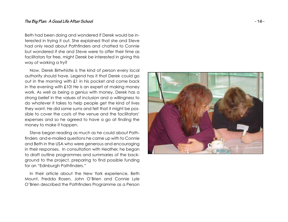#### *The Big Plan: A Good Life After School* **- 16 -**

Beth had been doing and wondered if Derek would be interested in trying it out. She explained that she and Steve had only read about Pathfinders and chatted to Connie but wondered if she and Steve were to offer their time asfacilitators for free, might Derek be interested in giving this way of working <sup>a</sup> try?

Now, Derek Birtwhistle is the kind of person every local authority should have. Legend has it that Derek could go out in the morning with £1 in his pocket and come back in the evening with £10! He is an expert at making money work. As well as being <sup>a</sup> genius with money, Derek has <sup>a</sup> strong belief in the values of inclusion and <sup>a</sup> willingness to do whatever it takes to help people get the kind of lives they want. He did some sums and felt that it might be possible to cover the costs of the venue and the facilitators'expenses and so he agreed to have a go at finding the money to make it happen.

Steve began reading as much as he could about Pathfinders and e-mailed questions he came up with to Connie and Beth in the USA who were generous and encouraging in their responses. In consultation with Heather, he began to draft outline programmes and summaries of the background to the project, preparing to find possible funding for an "Edinburgh Pathfinders."

In their article about the New York experience, Beth Mount, Fredda Rosen, John O'Brien and Connie Lyle O'Brien described the Pathfinders Programme as a Person

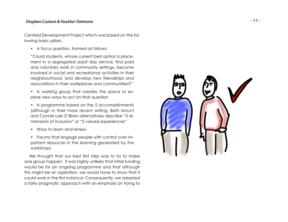### *Stephen Coulson & Heather Simmons* **- 17 -**

Centred Development Project which was based on the following basic pillars:

• A focus question, framed as follows:

"Could students, whose current best option is placement in a segregated adult day service, find paid and voluntary work in community settings, become involved in social and recreational activities in theirneighbourhood, and develop new friendships and associations in their workplaces and communities?"

- A working group that creates the space to explore new ways to act on that question
- A programme based on the 5 accomplishments (although in their more recent writing, Beth Mount and Connie Lyle O'Brien alternatively describe "5 dimensions of inclusion" or "5 valued experiences"
- Ways to learn and renew
- Forums that engage people with control over important resources in the learning generated by the workshops

We thought that our best first step was to try to make one group happen. It was highly unlikely that initial funding would be for an ongoing programme and that although this might be an aspiration, we would have to show that it could work in the first instance. Consequently, we adopted <sup>a</sup> fairly pragmatic approach with an emphasis on trying to

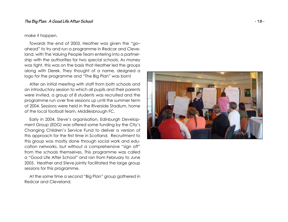#### make it happen.

Towards the end of 2003, Heather was given the "go– ahead" to try and run <sup>a</sup> programme in Redcar and Cleveland, with The Valuing People Team entering into <sup>a</sup> partnership with the authorities for two special schools. As money was tight, this was on the basis that Heather led the groups along with Derek. They thought of <sup>a</sup> name, designed <sup>a</sup> logo for the programme and "The Big Plan" was born!

After an initial meeting with staff from both schools and an introductory session to which all pupils and their parents were invited, <sup>a</sup> group of 8 students was recruited and the programme run over five sessions up until the summer term of 2004. Sessions were held in the Riverside Stadium, home of the local football team, Middlesbrough FC.

Early in 2004, Steve's organisation, Edinburgh Development Group (EDG) was offered some funding by the City's Changing Children's Service Fund to deliver <sup>a</sup> version of this approach for the first time in Scotland. Recruitment to this group was mostly done through social work and education networks, but without <sup>a</sup> comprehensive "sign off" from the schools themselves. This programme was called <sup>a</sup> "Good Life After School" and ran from February to June 2005. Heather and Steve jointly facilitated the large group sessions for this programme.

At the same time <sup>a</sup> second "Big Plan" group gathered in Redcar and Cleveland.